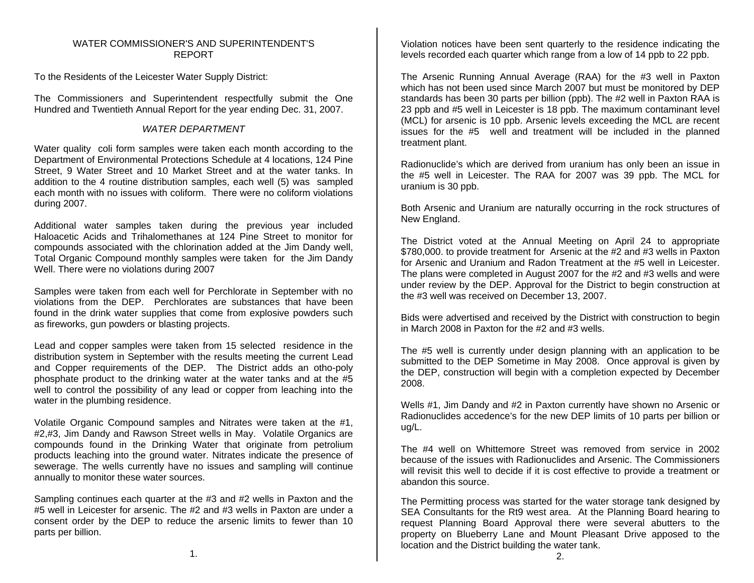## WATER COMMISSIONER'S AND SUPERINTENDENT'SREPORT

To the Residents of the Leicester Water Supply District:

The Commissioners and Superintendent respectfully submit the One Hundred and Twentieth Annual Report for the year ending Dec. 31, 2007.

# *WATER DEPARTMENT*

Water quality coli form samples were taken each month according to the Department of Environmental Protections Schedule at 4 locations, 124 Pine Street, 9 Water Street and 10 Market Street and at the water tanks. In addition to the 4 routine distribution samples, each well (5) was sampled each month with no issues with coliform. There were no coliform violations during 2007.

Additional water samples taken during the previous year included Haloacetic Acids and Trihalomethanes at 124 Pine Street to monitor for compounds associated with the chlorination added at the Jim Dandy well, Total Organic Compound monthly samples were taken for the Jim Dandy Well. There were no violations during 2007

Samples were taken from each well for Perchlorate in September with no violations from the DEP. Perchlorates are substances that have been found in the drink water supplies that come from explosive powders such as fireworks, gun powders or blasting projects.

Lead and copper samples were taken from 15 selected residence in the distribution system in September with the results meeting the current Lead and Copper requirements of the DEP. The District adds an otho-poly phosphate product to the drinking water at the water tanks and at the #5 well to control the possibility of any lead or copper from leaching into the water in the plumbing residence.

Volatile Organic Compound samples and Nitrates were taken at the #1, #2,#3, Jim Dandy and Rawson Street wells in May. Volatile Organics are compounds found in the Drinking Water that originate from petrolium products leaching into the ground water. Nitrates indicate the presence of sewerage. The wells currently have no issues and sampling will continue annually to monitor these water sources.

Sampling continues each quarter at the #3 and #2 wells in Paxton and the #5 well in Leicester for arsenic. The #2 and #3 wells in Paxton are under a consent order by the DEP to reduce the arsenic limits to fewer than 10 parts per billion.

Violation notices have been sent quarterly to the residence indicating the levels recorded each quarter which range from a low of 14 ppb to 22 ppb.

The Arsenic Running Annual Average (RAA) for the #3 well in Paxton which has not been used since March 2007 but must be monitored by DEP standards has been 30 parts per billion (ppb). The #2 well in Paxton RAA is 23 ppb and #5 well in Leicester is 18 ppb. The maximum contaminant level (MCL) for arsenic is 10 ppb. Arsenic levels exceeding the MCL are recent issues for the #5 well and treatment will be included in the planned treatment plant.

Radionuclide's which are derived from uranium has only been an issue in the #5 well in Leicester. The RAA for 2007 was 39 ppb. The MCL for uranium is 30 ppb.

Both Arsenic and Uranium are naturally occurring in the rock structures of New England.

The District voted at the Annual Meeting on April 24 to appropriate \$780,000. to provide treatment for Arsenic at the #2 and #3 wells in Paxton for Arsenic and Uranium and Radon Treatment at the #5 well in Leicester. The plans were completed in August 2007 for the #2 and #3 wells and were under review by the DEP. Approval for the District to begin construction at the #3 well was received on December 13, 2007.

Bids were advertised and received by the District with construction to begin in March 2008 in Paxton for the #2 and #3 wells.

The #5 well is currently under design planning with an application to be submitted to the DEP Sometime in May 2008. Once approval is given by the DEP, construction will begin with a completion expected by December 2008.

Wells #1, Jim Dandy and #2 in Paxton currently have shown no Arsenic or Radionuclides accedence's for the new DEP limits of 10 parts per billion or ug/L.

The #4 well on Whittemore Street was removed from service in 2002 because of the issues with Radionuclides and Arsenic. The Commissioners will revisit this well to decide if it is cost effective to provide a treatment or abandon this source.

The Permitting process was started for the water storage tank designed by SEA Consultants for the Rt9 west area. At the Planning Board hearing to request Planning Board Approval there were several abutters to the property on Blueberry Lane and Mount Pleasant Drive apposed to the location and the District building the water tank.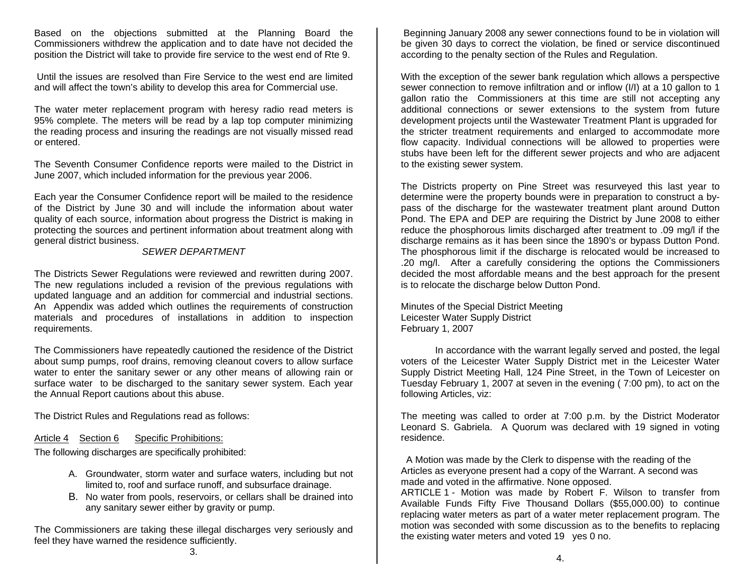Based on the objections submitted at the Planning Board the Commissioners withdrew the application and to date have not decided the position the District will take to provide fire service to the west end of Rte 9.

 Until the issues are resolved than Fire Service to the west end are limited and will affect the town's ability to develop this area for Commercial use.

The water meter replacement program with heresy radio read meters is 95% complete. The meters will be read by a lap top computer minimizing the reading process and insuring the readings are not visually missed read or entered.

The Seventh Consumer Confidence reports were mailed to the District in June 2007, which included information for the previous year 2006.

Each year the Consumer Confidence report will be mailed to the residence of the District by June 30 and will include the information about water quality of each source, information about progress the District is making in protecting the sources and pertinent information about treatment along with general district business.

### *SEWER DEPARTMENT*

The Districts Sewer Regulations were reviewed and rewritten during 2007. The new regulations included a revision of the previous regulations with updated language and an addition for commercial and industrial sections. An Appendix was added which outlines the requirements of construction materials and procedures of installations in addition to inspection requirements.

The Commissioners have repeatedly cautioned the residence of the District about sump pumps, roof drains, removing cleanout covers to allow surface water to enter the sanitary sewer or any other means of allowing rain or surface water to be discharged to the sanitary sewer system. Each year the Annual Report cautions about this abuse.

The District Rules and Regulations read as follows:

#### Article 4 Section 6 Specific Prohibitions:

The following discharges are specifically prohibited:

- A. Groundwater, storm water and surface waters, including but not limited to, roof and surface runoff, and subsurface drainage.
- B. No water from pools, reservoirs, or cellars shall be drained into any sanitary sewer either by gravity or pump.

The Commissioners are taking these illegal discharges very seriously and feel they have warned the residence sufficiently.

 Beginning January 2008 any sewer connections found to be in violation will be given 30 days to correct the violation, be fined or service discontinued according to the penalty section of the Rules and Regulation.

With the exception of the sewer bank regulation which allows a perspective sewer connection to remove infiltration and or inflow (I/I) at a 10 gallon to 1 gallon ratio the Commissioners at this time are still not accepting any additional connections or sewer extensions to the system from future development projects until the Wastewater Treatment Plant is upgraded for the stricter treatment requirements and enlarged to accommodate more flow capacity. Individual connections will be allowed to properties were stubs have been left for the different sewer projects and who are adjacent to the existing sewer system.

The Districts property on Pine Street was resurveyed this last year to determine were the property bounds were in preparation to construct a bypass of the discharge for the wastewater treatment plant around Dutton Pond. The EPA and DEP are requiring the District by June 2008 to either reduce the phosphorous limits discharged after treatment to .09 mg/l if the discharge remains as it has been since the 1890's or bypass Dutton Pond. The phosphorous limit if the discharge is relocated would be increased to .20 mg/l. After a carefully considering the options the Commissioners decided the most affordable means and the best approach for the present is to relocate the discharge below Dutton Pond.

Minutes of the Special District Meeting Leicester Water Supply District February 1, 2007

 In accordance with the warrant legally served and posted, the legal voters of the Leicester Water Supply District met in the Leicester Water Supply District Meeting Hall, 124 Pine Street, in the Town of Leicester on Tuesday February 1, 2007 at seven in the evening ( 7:00 pm), to act on the following Articles, viz:

The meeting was called to order at 7:00 p.m. by the District Moderator Leonard S. Gabriela. A Quorum was declared with 19 signed in voting residence.

 A Motion was made by the Clerk to dispense with the reading of the Articles as everyone present had a copy of the Warrant. A second was made and voted in the affirmative. None opposed.

ARTICLE 1 - Motion was made by Robert F. Wilson to transfer from Available Funds Fifty Five Thousand Dollars (\$55,000.00) to continue replacing water meters as part of a water meter replacement program. The motion was seconded with some discussion as to the benefits to replacing the existing water meters and voted 19 yes 0 no.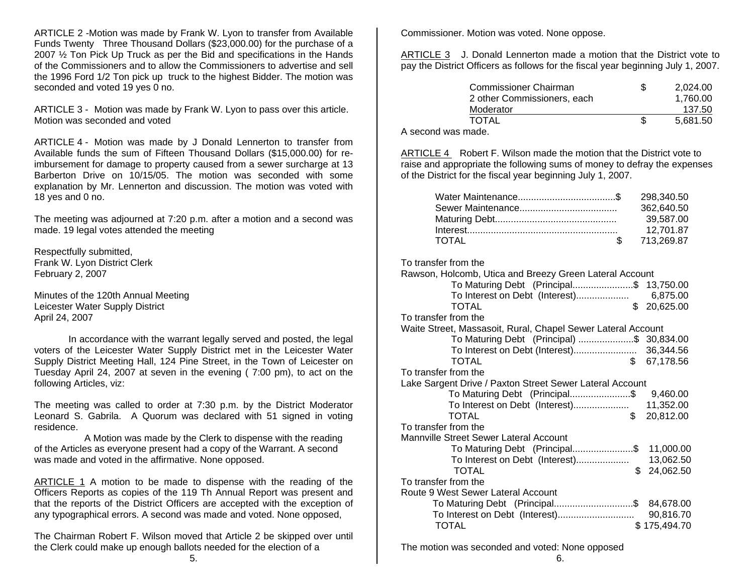ARTICLE 2 -Motion was made by Frank W. Lyon to transfer from Available Funds Twenty Three Thousand Dollars (\$23,000.00) for the purchase of a 2007 ½ Ton Pick Up Truck as per the Bid and specifications in the Hands of the Commissioners and to allow the Commissioners to advertise and sell the 1996 Ford 1/2 Ton pick up truck to the highest Bidder. The motion was seconded and voted 19 yes 0 no.

ARTICLE 3 - Motion was made by Frank W. Lyon to pass over this article. Motion was seconded and voted

ARTICLE 4 - Motion was made by J Donald Lennerton to transfer from Available funds the sum of Fifteen Thousand Dollars (\$15,000.00) for reimbursement for damage to property caused from a sewer surcharge at 13 Barberton Drive on 10/15/05. The motion was seconded with some explanation by Mr. Lennerton and discussion. The motion was voted with 18 yes and 0 no.

The meeting was adjourned at 7:20 p.m. after a motion and a second was made. 19 legal votes attended the meeting

Respectfully submitted, Frank W. Lyon District Clerk February 2, 2007

Minutes of the 120th Annual Meeting Leicester Water Supply District April 24, 2007

 In accordance with the warrant legally served and posted, the legal voters of the Leicester Water Supply District met in the Leicester Water Supply District Meeting Hall, 124 Pine Street, in the Town of Leicester on Tuesday April 24, 2007 at seven in the evening ( 7:00 pm), to act on the following Articles, viz:

The meeting was called to order at 7:30 p.m. by the District Moderator Leonard S. Gabrila. A Quorum was declared with 51 signed in voting residence.

 A Motion was made by the Clerk to dispense with the reading of the Articles as everyone present had a copy of the Warrant. A second was made and voted in the affirmative. None opposed.

ARTICLE 1 A motion to be made to dispense with the reading of the Officers Reports as copies of the 119 Th Annual Report was present and that the reports of the District Officers are accepted with the exception of any typographical errors. A second was made and voted. None opposed,

The Chairman Robert F. Wilson moved that Article 2 be skipped over until the Clerk could make up enough ballots needed for the election of a

Commissioner. Motion was voted. None oppose.

ARTICLE 3 J. Donald Lennerton made a motion that the District vote to pay the District Officers as follows for the fiscal year beginning July 1, 2007.

| Commissioner Chairman<br>2 other Commissioners, each | 2,024.00<br>1.760.00 |
|------------------------------------------------------|----------------------|
| Moderator                                            | 137.50               |
| TOTAL                                                | 5.681.50             |

A second was made.

ARTICLE 4 Robert F. Wilson made the motion that the District vote to raise and appropriate the following sums of money to defray the expenses of the District for the fiscal year beginning July 1, 2007.

|       | 298.340.50 |
|-------|------------|
|       | 362,640.50 |
|       | 39.587.00  |
|       | 12,701.87  |
| TOTAL | 713,269.87 |

| To transfer from the                                         |              |  |  |  |
|--------------------------------------------------------------|--------------|--|--|--|
| Rawson, Holcomb, Utica and Breezy Green Lateral Account      |              |  |  |  |
| To Maturing Debt (Principal\$ 13,750.00                      |              |  |  |  |
|                                                              |              |  |  |  |
| \$<br><b>TOTAL</b>                                           | 20,625.00    |  |  |  |
| To transfer from the                                         |              |  |  |  |
| Waite Street, Massasoit, Rural, Chapel Sewer Lateral Account |              |  |  |  |
| To Maturing Debt (Principal) \$ 30,834.00                    |              |  |  |  |
|                                                              |              |  |  |  |
| \$<br><b>TOTAL</b>                                           | 67,178.56    |  |  |  |
| To transfer from the                                         |              |  |  |  |
| Lake Sargent Drive / Paxton Street Sewer Lateral Account     |              |  |  |  |
| To Maturing Debt (Principal\$ 9,460.00                       |              |  |  |  |
| To Interest on Debt (Interest)                               | 11,352.00    |  |  |  |
| \$<br><b>TOTAL</b>                                           | 20,812.00    |  |  |  |
| To transfer from the                                         |              |  |  |  |
| Mannville Street Sewer Lateral Account                       |              |  |  |  |
| To Maturing Debt (Principal\$ 11,000.00                      |              |  |  |  |
| To Interest on Debt (Interest)                               | 13,062.50    |  |  |  |
| <b>TOTAL</b><br>\$                                           | 24,062.50    |  |  |  |
| To transfer from the                                         |              |  |  |  |
| Route 9 West Sewer Lateral Account                           |              |  |  |  |
| To Maturing Debt (Principal\$ 84,678.00                      |              |  |  |  |
|                                                              | 90,816.70    |  |  |  |
| <b>TOTAL</b>                                                 | \$175,494.70 |  |  |  |

The motion was seconded and voted: None opposed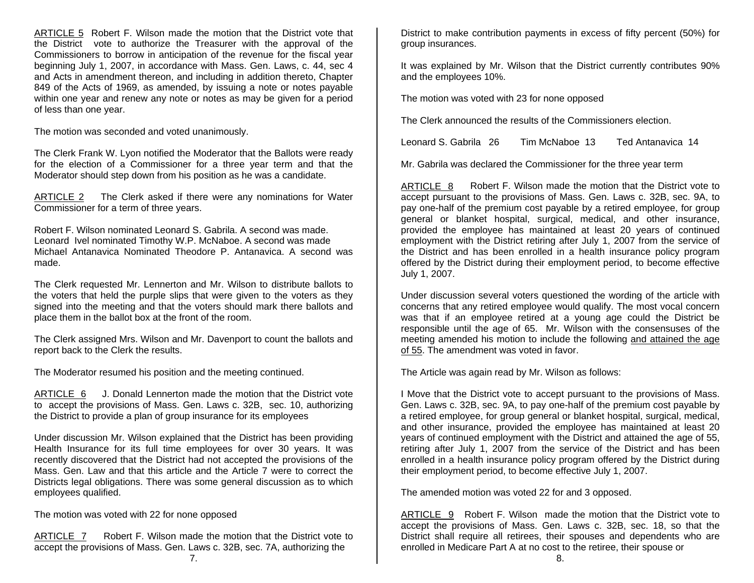ARTICLE 5 Robert F. Wilson made the motion that the District vote that the District vote to authorize the Treasurer with the approval of the Commissioners to borrow in anticipation of the revenue for the fiscal year beginning July 1, 2007, in accordance with Mass. Gen. Laws, c. 44, sec 4 and Acts in amendment thereon, and including in addition thereto, Chapter 849 of the Acts of 1969, as amended, by issuing a note or notes payable within one year and renew any note or notes as may be given for a period of less than one year.

The motion was seconded and voted unanimously.

The Clerk Frank W. Lyon notified the Moderator that the Ballots were ready for the election of a Commissioner for a three year term and that the Moderator should step down from his position as he was a candidate.

ARTICLE 2 The Clerk asked if there were any nominations for Water Commissioner for a term of three years.

Robert F. Wilson nominated Leonard S. Gabrila. A second was made. Leonard Ivel nominated Timothy W.P. McNaboe. A second was made Michael Antanavica Nominated Theodore P. Antanavica. A second was made.

The Clerk requested Mr. Lennerton and Mr. Wilson to distribute ballots to the voters that held the purple slips that were given to the voters as they signed into the meeting and that the voters should mark there ballots and place them in the ballot box at the front of the room.

The Clerk assigned Mrs. Wilson and Mr. Davenport to count the ballots and report back to the Clerk the results.

The Moderator resumed his position and the meeting continued.

ARTICLE 6 J. Donald Lennerton made the motion that the District vote to accept the provisions of Mass. Gen. Laws c. 32B, sec. 10, authorizing the District to provide a plan of group insurance for its employees

Under discussion Mr. Wilson explained that the District has been providing Health Insurance for its full time employees for over 30 years. It was recently discovered that the District had not accepted the provisions of the Mass. Gen. Law and that this article and the Article 7 were to correct the Districts legal obligations. There was some general discussion as to which employees qualified.

The motion was voted with 22 for none opposed

ARTICLE 7 Robert F. Wilson made the motion that the District vote to accept the provisions of Mass. Gen. Laws c. 32B, sec. 7A, authorizing the

District to make contribution payments in excess of fifty percent (50%) for group insurances.

It was explained by Mr. Wilson that the District currently contributes 90% and the employees 10%.

The motion was voted with 23 for none opposed

The Clerk announced the results of the Commissioners election.

Leonard S. Gabrila 26 Tim McNaboe 13 Ted Antanavica 14

Mr. Gabrila was declared the Commissioner for the three year term

ARTICLE 8 Robert F. Wilson made the motion that the District vote to accept pursuant to the provisions of Mass. Gen. Laws c. 32B, sec. 9A, to pay one-half of the premium cost payable by a retired employee, for group general or blanket hospital, surgical, medical, and other insurance, provided the employee has maintained at least 20 years of continued employment with the District retiring after July 1, 2007 from the service of the District and has been enrolled in a health insurance policy program offered by the District during their employment period, to become effective July 1, 2007.

Under discussion several voters questioned the wording of the article with concerns that any retired employee would qualify. The most vocal concern was that if an employee retired at a young age could the District be responsible until the age of 65. Mr. Wilson with the consensuses of the meeting amended his motion to include the following and attained the age of 55. The amendment was voted in favor.

The Article was again read by Mr. Wilson as follows:

I Move that the District vote to accept pursuant to the provisions of Mass. Gen. Laws c. 32B, sec. 9A, to pay one-half of the premium cost payable by a retired employee, for group general or blanket hospital, surgical, medical, and other insurance, provided the employee has maintained at least 20 years of continued employment with the District and attained the age of 55, retiring after July 1, 2007 from the service of the District and has been enrolled in a health insurance policy program offered by the District during their employment period, to become effective July 1, 2007.

The amended motion was voted 22 for and 3 opposed.

ARTICLE 9 Robert F. Wilson made the motion that the District vote to accept the provisions of Mass. Gen. Laws c. 32B, sec. 18, so that the District shall require all retirees, their spouses and dependents who are enrolled in Medicare Part A at no cost to the retiree, their spouse or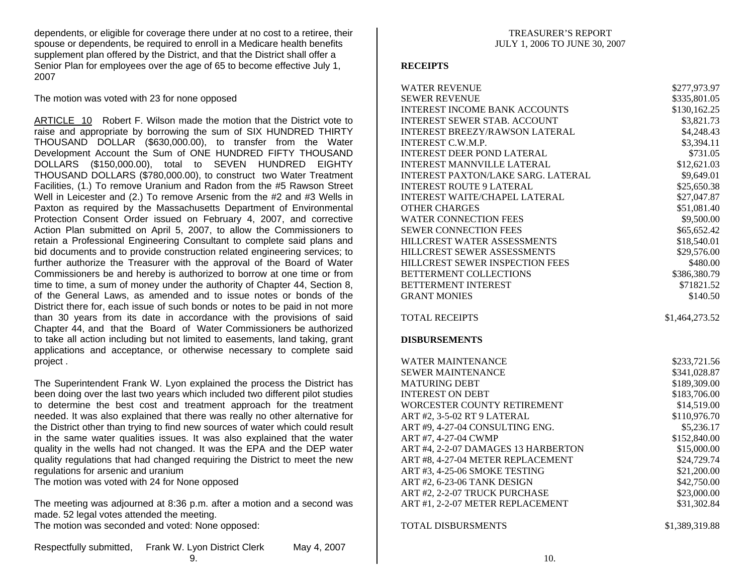dependents, or eligible for coverage there under at no cost to a retiree, their spouse or dependents, be required to enroll in a Medicare health benefits supplement plan offered by the District, and that the District shall offer a Senior Plan for employees over the age of 65 to become effective July 1, 2007

The motion was voted with 23 for none opposed

ARTICLE 10 Robert F. Wilson made the motion that the District vote to raise and appropriate by borrowing the sum of SIX HUNDRED THIRTY THOUSAND DOLLAR (\$630,000.00), to transfer from the Water Development Account the Sum of ONE HUNDRED FIFTY THOUSAND DOLLARS (\$150,000.00), total to SEVEN HUNDRED EIGHTY THOUSAND DOLLARS (\$780,000.00), to construct two Water Treatment Facilities, (1.) To remove Uranium and Radon from the #5 Rawson Street Well in Leicester and (2.) To remove Arsenic from the #2 and #3 Wells in Paxton as required by the Massachusetts Department of Environmental Protection Consent Order issued on February 4, 2007, and corrective Action Plan submitted on April 5, 2007, to allow the Commissioners to retain a Professional Engineering Consultant to complete said plans and bid documents and to provide construction related engineering services; to further authorize the Treasurer with the approval of the Board of Water Commissioners be and hereby is authorized to borrow at one time or from time to time, a sum of money under the authority of Chapter 44, Section 8, of the General Laws, as amended and to issue notes or bonds of the District there for, each issue of such bonds or notes to be paid in not more than 30 years from its date in accordance with the provisions of said Chapter 44, and that the Board of Water Commissioners be authorized to take all action including but not limited to easements, land taking, grant applications and acceptance, or otherwise necessary to complete said project .

The Superintendent Frank W. Lyon explained the process the District has been doing over the last two years which included two different pilot studies to determine the best cost and treatment approach for the treatment needed. It was also explained that there was really no other alternative for the District other than trying to find new sources of water which could result in the same water qualities issues. It was also explained that the water quality in the wells had not changed. It was the EPA and the DEP water quality regulations that had changed requiring the District to meet the new regulations for arsenic and uranium

The motion was voted with 24 for None opposed

The meeting was adjourned at 8:36 p.m. after a motion and a second was made. 52 legal votes attended the meeting. The motion was seconded and voted: None opposed:

Respectfully submitted, Frank W. Lyon District Clerk May 4, 2007 9.

### **RECEIPTS**

| <b>WATER REVENUE</b>                  | \$277,973.97                 |
|---------------------------------------|------------------------------|
| <b>SEWER REVENUE</b>                  | \$335,801.05                 |
| <b>INTEREST INCOME BANK ACCOUNTS</b>  | \$130,162.25                 |
| <b>INTEREST SEWER STAB. ACCOUNT</b>   | \$3,821.73                   |
| <b>INTEREST BREEZY/RAWSON LATERAL</b> | \$4,248.43                   |
| INTEREST C.W.M.P.                     | \$3,394.11                   |
| <b>INTEREST DEER POND LATERAL</b>     | \$731.05                     |
| <b>INTEREST MANNVILLE LATERAL</b>     | \$12,621.03                  |
| INTEREST PAXTON/LAKE SARG. LATERAL    | \$9,649.01                   |
| <b>INTEREST ROUTE 9 LATERAL</b>       | \$25,650.38                  |
| INTEREST WAITE/CHAPEL LATERAL         | \$27,047.87                  |
| <b>OTHER CHARGES</b>                  | \$51,081.40                  |
| <b>WATER CONNECTION FEES</b>          | \$9,500.00                   |
| <b>SEWER CONNECTION FEES</b>          | \$65,652.42                  |
| HILLCREST WATER ASSESSMENTS           | \$18,540.01                  |
| HILLCREST SEWER ASSESSMENTS           | \$29,576.00                  |
| HILLCREST SEWER INSPECTION FEES       | \$480.00                     |
| BETTERMENT COLLECTIONS                | \$386,380.79                 |
| <b>BETTERMENT INTEREST</b>            | \$71821.52                   |
| <b>GRANT MONIES</b>                   | \$140.50                     |
|                                       |                              |
| <b>TOTAL RECEIPTS</b>                 | \$1,464,273.52               |
| <b>DISBURSEMENTS</b>                  |                              |
| <b>WATER MAINTENANCE</b>              |                              |
| <b>SEWER MAINTENANCE</b>              | \$233,721.56<br>\$341,028.87 |
| <b>MATURING DEBT</b>                  | \$189,309.00                 |
| <b>INTEREST ON DEBT</b>               | \$183,706.00                 |
| WORCESTER COUNTY RETIREMENT           | \$14,519.00                  |
| ART #2, 3-5-02 RT 9 LATERAL           | \$110,976.70                 |
| ART #9, 4-27-04 CONSULTING ENG.       | \$5,236.17                   |
| ART #7, 4-27-04 CWMP                  | \$152,840.00                 |
| ART #4, 2-2-07 DAMAGES 13 HARBERTON   | \$15,000.00                  |
| ART #8, 4-27-04 METER REPLACEMENT     | \$24,729.74                  |
| ART #3, 4-25-06 SMOKE TESTING         | \$21,200.00                  |
| ART #2, 6-23-06 TANK DESIGN           | \$42,750.00                  |
| ART #2, 2-2-07 TRUCK PURCHASE         | \$23,000.00                  |
| ART #1, 2-2-07 METER REPLACEMENT      | \$31,302.84                  |